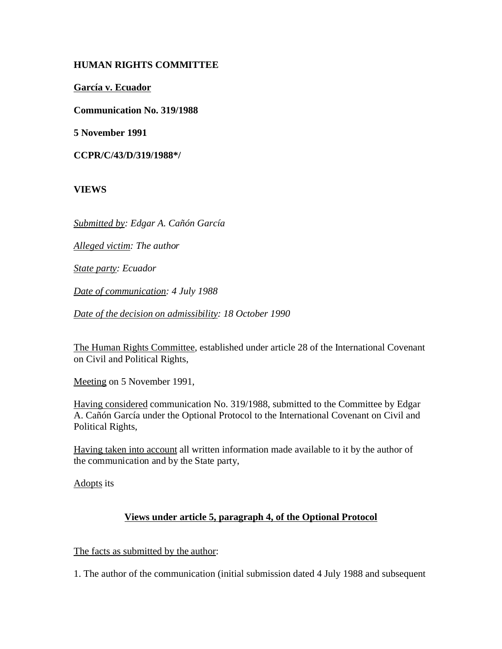# **HUMAN RIGHTS COMMITTEE**

**García v. Ecuador**

**Communication No. 319/1988**

**5 November 1991**

**CCPR/C/43/D/319/1988\*/**

**VIEWS**

*Submitted by: Edgar A. Cañón García* 

*Alleged victim: The author* 

*State party: Ecuador*

*Date of communication: 4 July 1988* 

*Date of the decision on admissibility: 18 October 1990*

The Human Rights Committee, established under article 28 of the International Covenant on Civil and Political Rights,

Meeting on 5 November 1991,

Having considered communication No. 319/1988, submitted to the Committee by Edgar A. Cañón García under the Optional Protocol to the International Covenant on Civil and Political Rights,

Having taken into account all written information made available to it by the author of the communication and by the State party,

Adopts its

## **Views under article 5, paragraph 4, of the Optional Protocol**

The facts as submitted by the author:

1. The author of the communication (initial submission dated 4 July 1988 and subsequent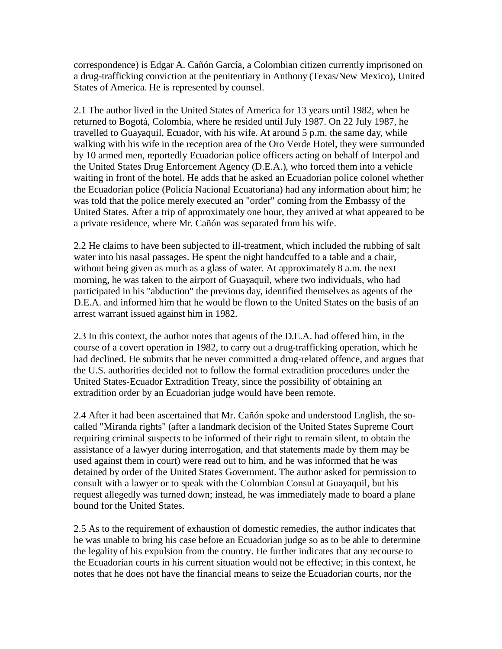correspondence) is Edgar A. Cañón García, a Colombian citizen currently imprisoned on a drug-trafficking conviction at the penitentiary in Anthony (Texas/New Mexico), United States of America. He is represented by counsel.

2.1 The author lived in the United States of America for 13 years until 1982, when he returned to Bogotá, Colombia, where he resided until July 1987. On 22 July 1987, he travelled to Guayaquil, Ecuador, with his wife. At around 5 p.m. the same day, while walking with his wife in the reception area of the Oro Verde Hotel, they were surrounded by 10 armed men, reportedly Ecuadorian police officers acting on behalf of Interpol and the United States Drug Enforcement Agency (D.E.A.), who forced them into a vehicle waiting in front of the hotel. He adds that he asked an Ecuadorian police colonel whether the Ecuadorian police (Policía Nacional Ecuatoriana) had any information about him; he was told that the police merely executed an "order" coming from the Embassy of the United States. After a trip of approximately one hour, they arrived at what appeared to be a private residence, where Mr. Cañón was separated from his wife.

2.2 He claims to have been subjected to ill-treatment, which included the rubbing of salt water into his nasal passages. He spent the night handcuffed to a table and a chair, without being given as much as a glass of water. At approximately 8 a.m. the next morning, he was taken to the airport of Guayaquil, where two individuals, who had participated in his "abduction" the previous day, identified themselves as agents of the D.E.A. and informed him that he would be flown to the United States on the basis of an arrest warrant issued against him in 1982.

2.3 In this context, the author notes that agents of the D.E.A. had offered him, in the course of a covert operation in 1982, to carry out a drug-trafficking operation, which he had declined. He submits that he never committed a drug-related offence, and argues that the U.S. authorities decided not to follow the formal extradition procedures under the United States-Ecuador Extradition Treaty, since the possibility of obtaining an extradition order by an Ecuadorian judge would have been remote.

2.4 After it had been ascertained that Mr. Cañón spoke and understood English, the socalled "Miranda rights" (after a landmark decision of the United States Supreme Court requiring criminal suspects to be informed of their right to remain silent, to obtain the assistance of a lawyer during interrogation, and that statements made by them may be used against them in court) were read out to him, and he was informed that he was detained by order of the United States Government. The author asked for permission to consult with a lawyer or to speak with the Colombian Consul at Guayaquil, but his request allegedly was turned down; instead, he was immediately made to board a plane bound for the United States.

2.5 As to the requirement of exhaustion of domestic remedies, the author indicates that he was unable to bring his case before an Ecuadorian judge so as to be able to determine the legality of his expulsion from the country. He further indicates that any recourse to the Ecuadorian courts in his current situation would not be effective; in this context, he notes that he does not have the financial means to seize the Ecuadorian courts, nor the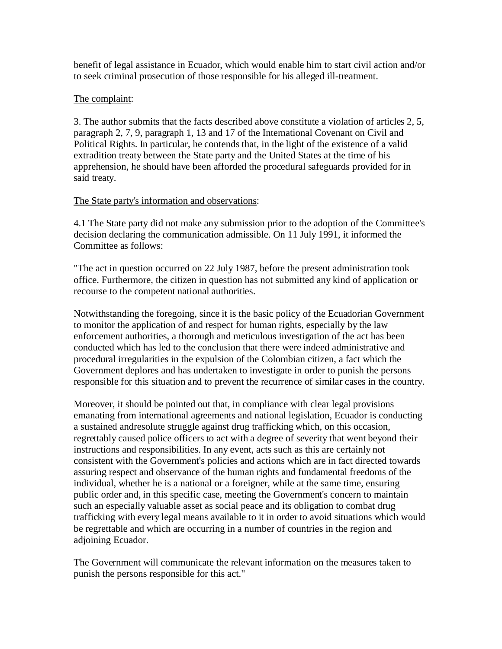benefit of legal assistance in Ecuador, which would enable him to start civil action and/or to seek criminal prosecution of those responsible for his alleged ill-treatment.

## The complaint:

3. The author submits that the facts described above constitute a violation of articles 2, 5, paragraph 2, 7, 9, paragraph 1, 13 and 17 of the International Covenant on Civil and Political Rights. In particular, he contends that, in the light of the existence of a valid extradition treaty between the State party and the United States at the time of his apprehension, he should have been afforded the procedural safeguards provided for in said treaty.

## The State party's information and observations:

4.1 The State party did not make any submission prior to the adoption of the Committee's decision declaring the communication admissible. On 11 July 1991, it informed the Committee as follows:

"The act in question occurred on 22 July 1987, before the present administration took office. Furthermore, the citizen in question has not submitted any kind of application or recourse to the competent national authorities.

Notwithstanding the foregoing, since it is the basic policy of the Ecuadorian Government to monitor the application of and respect for human rights, especially by the law enforcement authorities, a thorough and meticulous investigation of the act has been conducted which has led to the conclusion that there were indeed administrative and procedural irregularities in the expulsion of the Colombian citizen, a fact which the Government deplores and has undertaken to investigate in order to punish the persons responsible for this situation and to prevent the recurrence of similar cases in the country.

Moreover, it should be pointed out that, in compliance with clear legal provisions emanating from international agreements and national legislation, Ecuador is conducting a sustained andresolute struggle against drug trafficking which, on this occasion, regrettably caused police officers to act with a degree of severity that went beyond their instructions and responsibilities. In any event, acts such as this are certainly not consistent with the Government's policies and actions which are in fact directed towards assuring respect and observance of the human rights and fundamental freedoms of the individual, whether he is a national or a foreigner, while at the same time, ensuring public order and, in this specific case, meeting the Government's concern to maintain such an especially valuable asset as social peace and its obligation to combat drug trafficking with every legal means available to it in order to avoid situations which would be regrettable and which are occurring in a number of countries in the region and adjoining Ecuador.

The Government will communicate the relevant information on the measures taken to punish the persons responsible for this act."